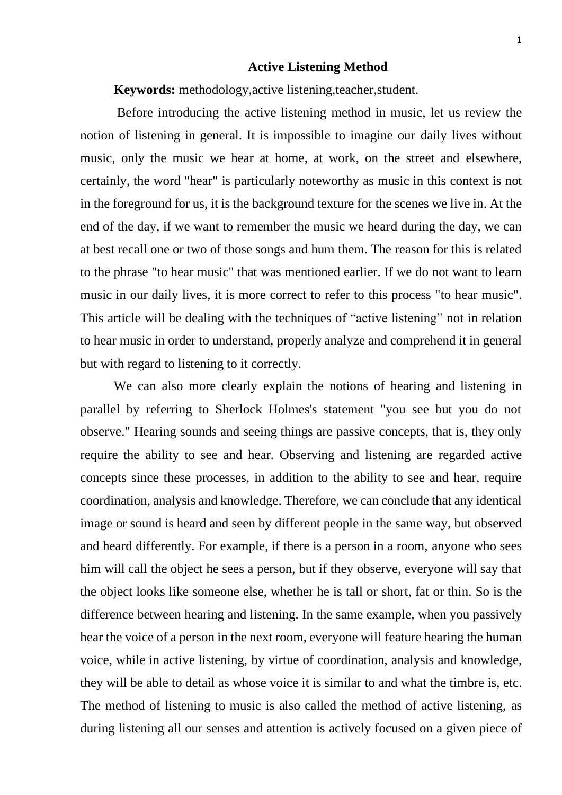## **Active Listening Method**

**Keywords:** methodology,active listening,teacher,student.

Before introducing the active listening method in music, let us review the notion of listening in general. It is impossible to imagine our daily lives without music, only the music we hear at home, at work, on the street and elsewhere, certainly, the word "hear" is particularly noteworthy as music in this context is not in the foreground for us, it is the background texture for the scenes we live in. At the end of the day, if we want to remember the music we heard during the day, we can at best recall one or two of those songs and hum them. The reason for this is related to the phrase "to hear music" that was mentioned earlier. If we do not want to learn music in our daily lives, it is more correct to refer to this process "to hear music". This article will be dealing with the techniques of "active listening" not in relation to hear music in order to understand, properly analyze and comprehend it in general but with regard to listening to it correctly.

We can also more clearly explain the notions of hearing and listening in parallel by referring to Sherlock Holmes's statement "you see but you do not observe." Hearing sounds and seeing things are passive concepts, that is, they only require the ability to see and hear. Observing and listening are regarded active concepts since these processes, in addition to the ability to see and hear, require coordination, analysis and knowledge. Therefore, we can conclude that any identical image or sound is heard and seen by different people in the same way, but observed and heard differently. For example, if there is a person in a room, anyone who sees him will call the object he sees a person, but if they observe, everyone will say that the object looks like someone else, whether he is tall or short, fat or thin. So is the difference between hearing and listening. In the same example, when you passively hear the voice of a person in the next room, everyone will feature hearing the human voice, while in active listening, by virtue of coordination, analysis and knowledge, they will be able to detail as whose voice it is similar to and what the timbre is, etc. The method of listening to music is also called the method of active listening, as during listening all our senses and attention is actively focused on a given piece of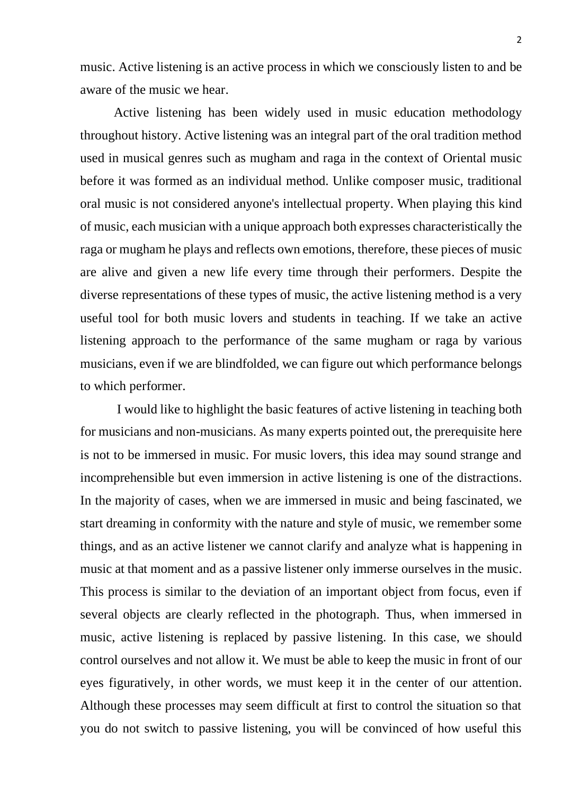music. Active listening is an active process in which we consciously listen to and be aware of the music we hear.

Active listening has been widely used in music education methodology throughout history. Active listening was an integral part of the oral tradition method used in musical genres such as mugham and raga in the context of Oriental music before it was formed as an individual method. Unlike composer music, traditional oral music is not considered anyone's intellectual property. When playing this kind of music, each musician with a unique approach both expresses characteristically the raga or mugham he plays and reflects own emotions, therefore, these pieces of music are alive and given a new life every time through their performers. Despite the diverse representations of these types of music, the active listening method is a very useful tool for both music lovers and students in teaching. If we take an active listening approach to the performance of the same mugham or raga by various musicians, even if we are blindfolded, we can figure out which performance belongs to which performer.

I would like to highlight the basic features of active listening in teaching both for musicians and non-musicians. As many experts pointed out, the prerequisite here is not to be immersed in music. For music lovers, this idea may sound strange and incomprehensible but even immersion in active listening is one of the distractions. In the majority of cases, when we are immersed in music and being fascinated, we start dreaming in conformity with the nature and style of music, we remember some things, and as an active listener we cannot clarify and analyze what is happening in music at that moment and as a passive listener only immerse ourselves in the music. This process is similar to the deviation of an important object from focus, even if several objects are clearly reflected in the photograph. Thus, when immersed in music, active listening is replaced by passive listening. In this case, we should control ourselves and not allow it. We must be able to keep the music in front of our eyes figuratively, in other words, we must keep it in the center of our attention. Although these processes may seem difficult at first to control the situation so that you do not switch to passive listening, you will be convinced of how useful this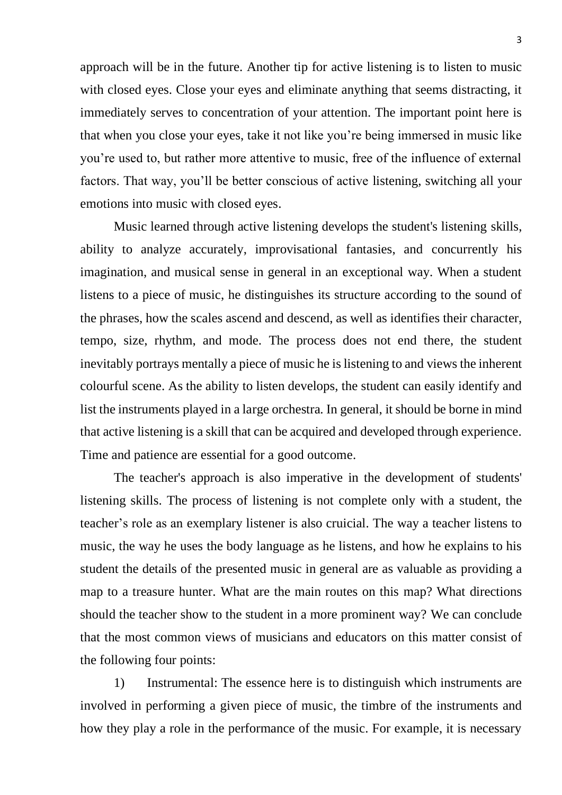approach will be in the future. Another tip for active listening is to listen to music with closed eyes. Close your eyes and eliminate anything that seems distracting, it immediately serves to concentration of your attention. The important point here is that when you close your eyes, take it not like you're being immersed in music like you're used to, but rather more attentive to music, free of the influence of external factors. That way, you'll be better conscious of active listening, switching all your emotions into music with closed eyes.

Music learned through active listening develops the student's listening skills, ability to analyze accurately, improvisational fantasies, and concurrently his imagination, and musical sense in general in an exceptional way. When a student listens to a piece of music, he distinguishes its structure according to the sound of the phrases, how the scales ascend and descend, as well as identifies their character, tempo, size, rhythm, and mode. The process does not end there, the student inevitably portrays mentally a piece of music he is listening to and views the inherent colourful scene. As the ability to listen develops, the student can easily identify and list the instruments played in a large orchestra. In general, it should be borne in mind that active listening is a skill that can be acquired and developed through experience. Time and patience are essential for a good outcome.

The teacher's approach is also imperative in the development of students' listening skills. The process of listening is not complete only with a student, the teacher's role as an exemplary listener is also cruicial. The way a teacher listens to music, the way he uses the body language as he listens, and how he explains to his student the details of the presented music in general are as valuable as providing a map to a treasure hunter. What are the main routes on this map? What directions should the teacher show to the student in a more prominent way? We can conclude that the most common views of musicians and educators on this matter consist of the following four points:

1) Instrumental: The essence here is to distinguish which instruments are involved in performing a given piece of music, the timbre of the instruments and how they play a role in the performance of the music. For example, it is necessary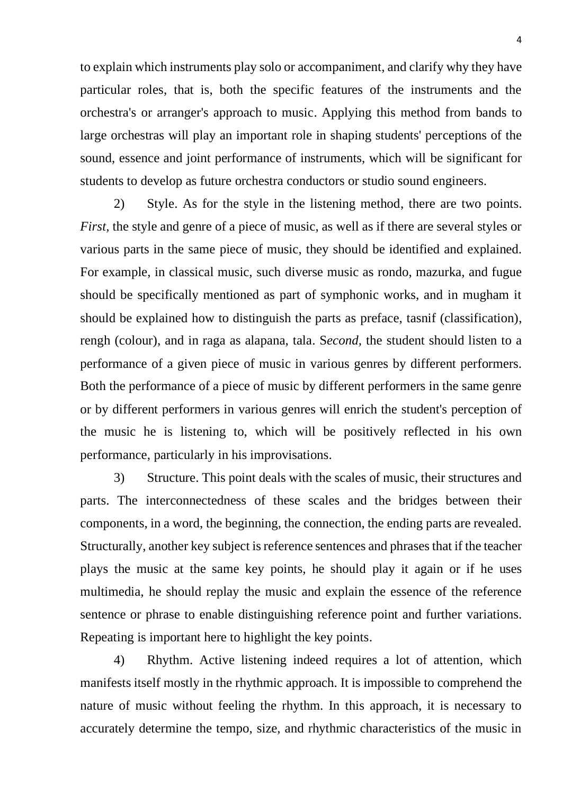to explain which instruments play solo or accompaniment, and clarify why they have particular roles, that is, both the specific features of the instruments and the orchestra's or arranger's approach to music. Applying this method from bands to large orchestras will play an important role in shaping students' perceptions of the sound, essence and joint performance of instruments, which will be significant for students to develop as future orchestra conductors or studio sound engineers.

2) Style. As for the style in the listening method, there are two points. *First,* the style and genre of a piece of music, as well as if there are several styles or various parts in the same piece of music, they should be identified and explained. For example, in classical music, such diverse music as rondo, mazurka, and fugue should be specifically mentioned as part of symphonic works, and in mugham it should be explained how to distinguish the parts as preface, tasnif (classification), rengh (colour), and in raga as alapana, tala. S*econd,* the student should listen to a performance of a given piece of music in various genres by different performers. Both the performance of a piece of music by different performers in the same genre or by different performers in various genres will enrich the student's perception of the music he is listening to, which will be positively reflected in his own performance, particularly in his improvisations.

3) Structure. This point deals with the scales of music, their structures and parts. The interconnectedness of these scales and the bridges between their components, in a word, the beginning, the connection, the ending parts are revealed. Structurally, another key subject is reference sentences and phrasesthat if the teacher plays the music at the same key points, he should play it again or if he uses multimedia, he should replay the music and explain the essence of the reference sentence or phrase to enable distinguishing reference point and further variations. Repeating is important here to highlight the key points.

4) Rhythm. Active listening indeed requires a lot of attention, which manifests itself mostly in the rhythmic approach. It is impossible to comprehend the nature of music without feeling the rhythm. In this approach, it is necessary to accurately determine the tempo, size, and rhythmic characteristics of the music in